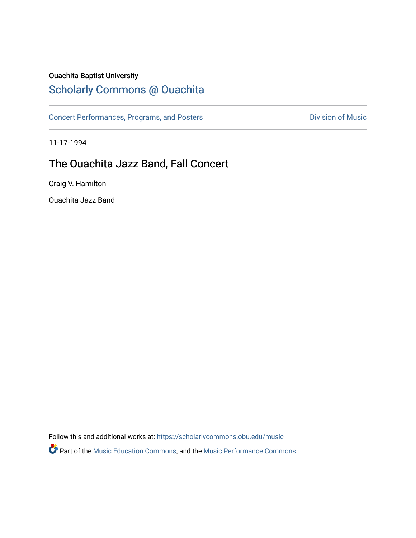#### Ouachita Baptist University

### [Scholarly Commons @ Ouachita](https://scholarlycommons.obu.edu/)

[Concert Performances, Programs, and Posters](https://scholarlycommons.obu.edu/music) **Division of Music** Division of Music

11-17-1994

### The Ouachita Jazz Band, Fall Concert

Craig V. Hamilton

Ouachita Jazz Band

Follow this and additional works at: [https://scholarlycommons.obu.edu/music](https://scholarlycommons.obu.edu/music?utm_source=scholarlycommons.obu.edu%2Fmusic%2F135&utm_medium=PDF&utm_campaign=PDFCoverPages) 

Part of the [Music Education Commons,](http://network.bepress.com/hgg/discipline/1246?utm_source=scholarlycommons.obu.edu%2Fmusic%2F135&utm_medium=PDF&utm_campaign=PDFCoverPages) and the [Music Performance Commons](http://network.bepress.com/hgg/discipline/1128?utm_source=scholarlycommons.obu.edu%2Fmusic%2F135&utm_medium=PDF&utm_campaign=PDFCoverPages)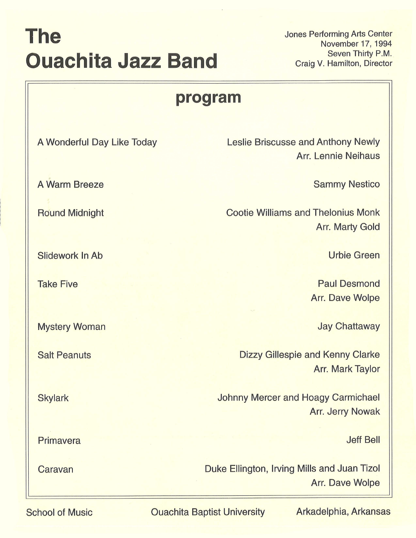# **The Ouachita Jazz Band**

Jones Performing Arts Center November 17, 1994 Seven Thirty P.M. Craig V. Hamilton, Director

## **program**

| A Wonderful Day Like Today | <b>Leslie Briscusse and Anthony Newly</b><br><b>Arr. Lennie Neihaus</b> |
|----------------------------|-------------------------------------------------------------------------|
| <b>A Warm Breeze</b>       | <b>Sammy Nestico</b>                                                    |
| <b>Round Midnight</b>      | <b>Cootie Williams and Thelonius Monk</b><br><b>Arr. Marty Gold</b>     |
| Slidework In Ab            | <b>Urbie Green</b>                                                      |
| <b>Take Five</b>           | <b>Paul Desmond</b><br><b>Arr. Dave Wolpe</b>                           |
| <b>Mystery Woman</b>       | <b>Jay Chattaway</b>                                                    |
| <b>Salt Peanuts</b>        | <b>Dizzy Gillespie and Kenny Clarke</b><br><b>Arr. Mark Taylor</b>      |
| <b>Skylark</b>             | <b>Johnny Mercer and Hoagy Carmichael</b><br><b>Arr. Jerry Nowak</b>    |
| Primavera                  | <b>Jeff Bell</b>                                                        |
| Caravan                    | Duke Ellington, Irving Mills and Juan Tizol<br><b>Arr. Dave Wolpe</b>   |

School of Music **Constructs** Ouachita Baptist University **Arkadelphia, Arkansas**